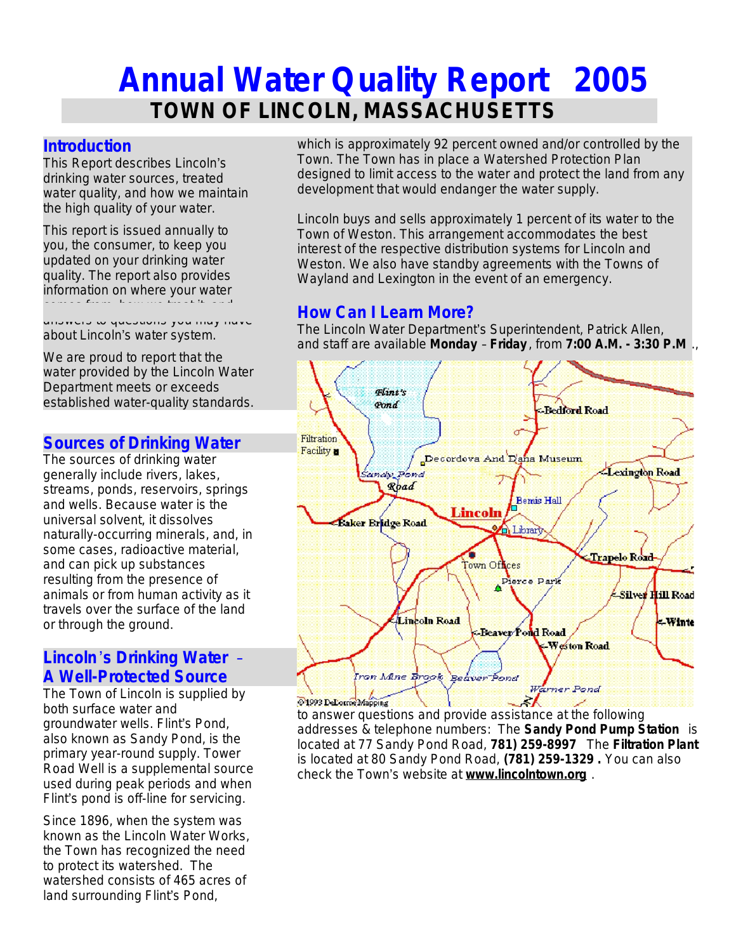# **Annual Water Quality Report 2005 TOWN OF LINCOLN, MASSACHUSETTS**

#### **Introduction**

This Report describes Lincoln's drinking water sources, treated water quality, and how we maintain the high quality of your water.

This report is issued annually to you, the consumer, to keep you updated on your drinking water quality. The report also provides information on where your water comes from, how we treat it, and

answers to questions you may have about Lincoln's water system.

We are proud to report that the water provided by the Lincoln Water Department meets or exceeds established water-quality standards.

#### **Sources of Drinking Water**

The sources of drinking water generally include rivers, lakes, streams, ponds, reservoirs, springs and wells. Because water is the universal solvent, it dissolves naturally-occurring minerals, and, in some cases, radioactive material, and can pick up substances resulting from the presence of animals or from human activity as it travels over the surface of the land or through the ground.

#### **Lincoln**'**s Drinking Water** – **A Well-Protected Source**

The Town of Lincoln is supplied by both surface water and groundwater wells. Flint's Pond, also known as Sandy Pond, is the primary year-round supply. Tower Road Well is a supplemental source used during peak periods and when Flint's pond is off-line for servicing.

Since 1896, when the system was known as the Lincoln Water Works, the Town has recognized the need to protect its watershed. The watershed consists of 465 acres of land surrounding Flint's Pond,

which is approximately 92 percent owned and/or controlled by the Town. The Town has in place a Watershed Protection Plan designed to limit access to the water and protect the land from any development that would endanger the water supply.

Lincoln buys and sells approximately 1 percent of its water to the Town of Weston. This arrangement accommodates the best interest of the respective distribution systems for Lincoln and Weston. We also have standby agreements with the Towns of Wayland and Lexington in the event of an emergency.

## **How Can I Learn More?**

The Lincoln Water Department's Superintendent, Patrick Allen, and staff are available **Monday** – **Friday** , from **7:00 A.M. - 3:30 P.M** .,



to answer questions and provide assistance at the following addresses & telephone numbers: The **Sandy Pond Pump Station** is located at 77 Sandy Pond Road, **781) 259-8997** The **Filtration Plant** is located at 80 Sandy Pond Road, **(781) 259-1329 .** You can also check the Town's website at **www.lincolntown.org** .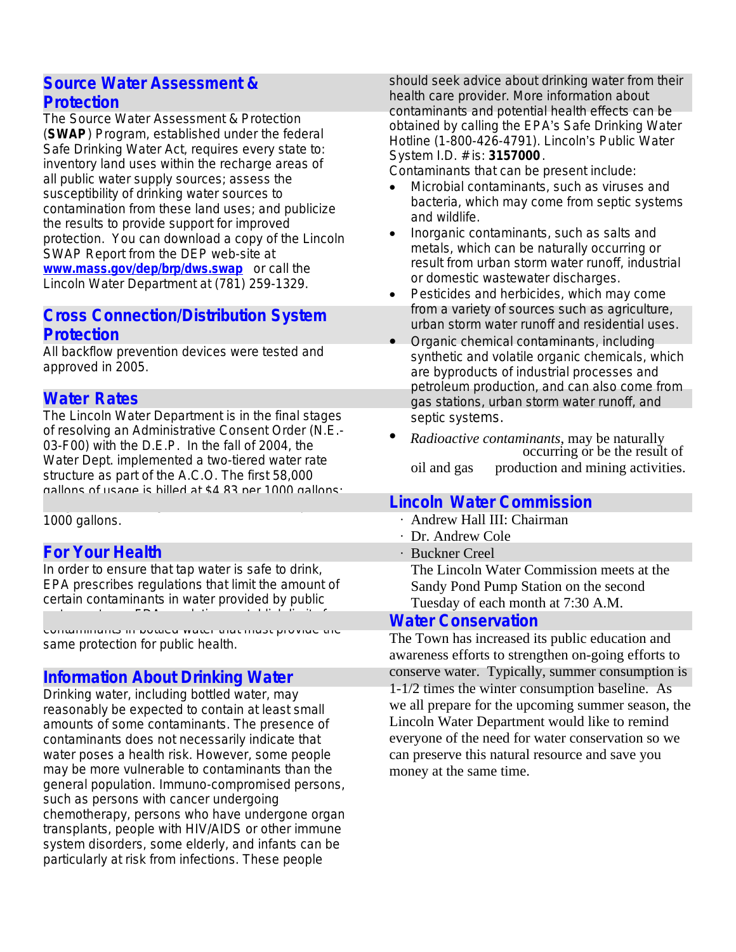#### **Source Water Assessment & Protection**

The Source Water Assessment & Protection (**SWAP**) Program, established under the federal Safe Drinking Water Act, requires every state to: inventory land uses within the recharge areas of all public water supply sources; assess the susceptibility of drinking water sources to contamination from these land uses; and publicize the results to provide support for improved protection. You can download a copy of the Lincoln SWAP Report from the DEP web-site at **[www.mass.gov/dep/brp/dws.swap](http://www.mass.gov/dep/brp/dws.swap)** or call the Lincoln Water Department at (781) 259-1329.

#### **Cross Connection/Distribution System Protection**

All backflow prevention devices were tested and approved in 2005.

## **Water Rates**

The Lincoln Water Department is in the final stages of resolving an Administrative Consent Order (N.E.- 03-F00) with the D.E.P. In the fall of 2004, the Water Dept. implemented a two-tiered water rate structure as part of the A.C.O. The first 58,000 gallons of usage is billed at \$4.83 per 1000 gallons;

usage over 58,000 gallons is billed at \$7.25 per 1000 gallons.

## **For Your Health**

In order to ensure that tap water is safe to drink, EPA prescribes regulations that limit the amount of certain contaminants in water provided by public water systems. FDA regulations establish limits for

contaminants in bottled water that must provide the same protection for public health.

## **Information About Drinking Water**

Drinking water, including bottled water, may reasonably be expected to contain at least small amounts of some contaminants. The presence of contaminants does not necessarily indicate that water poses a health risk. However, some people may be more vulnerable to contaminants than the general population. Immuno-compromised persons, such as persons with cancer undergoing chemotherapy, persons who have undergone organ transplants, people with HIV/AIDS or other immune system disorders, some elderly, and infants can be particularly at risk from infections. These people

should seek advice about drinking water from their health care provider. More information about contaminants and potential health effects can be obtained by calling the EPA's Safe Drinking Water Hotline (1-800-426-4791). Lincoln's Public Water System I.D. # is: **3157000**.

Contaminants that can be present include:

- · *Microbial contaminants,* such as viruses and bacteria, which may come from septic systems and wildlife.
- · *Inorganic contaminants*, such as salts and metals, which can be naturally occurring or result from urban storm water runoff, industrial or domestic wastewater discharges.
- · *Pesticides and herbicides,* which may come from a variety of sources such as agriculture, urban storm water runoff and residential uses.
- · *Organic chemical contaminants*, including synthetic and volatile organic chemicals, which are byproducts of industrial processes and petroleum production, and can also come from gas stations, urban storm water runoff, and septic systems.
- · *Radioactive contaminants*, may be naturally occurring or be the result of oil and gas production and mining activities.

## **Lincoln Water Commission**

- ∙ Andrew Hall III: Chairman
- ∙ Dr. Andrew Cole
- ∙ Buckner Creel The Lincoln Water Commission meets at the Sandy Pond Pump Station on the second
- Tuesday of each month at 7:30 A.M.

#### **Water Conservation**

The Town has increased its public education and awareness efforts to strengthen on-going efforts to conserve water. Typically, summer consumption is 1-1/2 times the winter consumption baseline. As we all prepare for the upcoming summer season, the Lincoln Water Department would like to remind everyone of the need for water conservation so we can preserve this natural resource and save you money at the same time.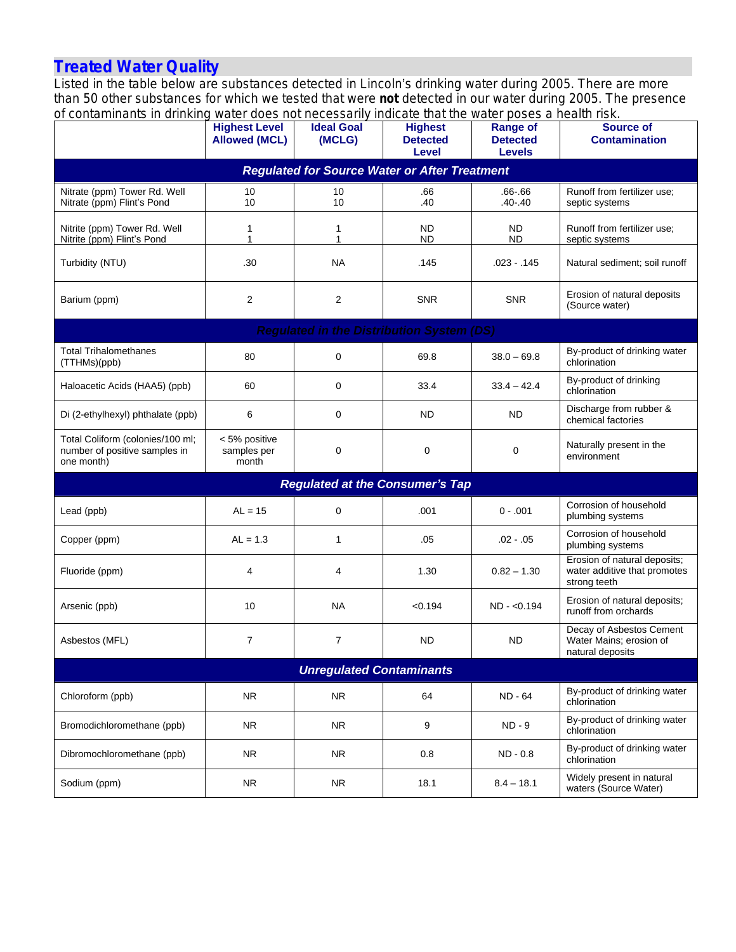#### **Treated Water Quality**

Listed in the table below are substances detected in Lincoln's drinking water during 2005. There are more than 50 other substances for which we tested that were *not* detected in our water during 2005. The presence of contaminants in drinking water does not necessarily indicate that the water poses a health risk.

| or contaminanto in unimitiu                                                     | <b>Highest Level</b><br><b>Allowed (MCL)</b> | <b>Mater about not necessainly indicate that the Mater poses a health now.</b><br><b>Ideal Goal</b><br>(MCLG) | <b>Highest</b><br><b>Detected</b><br>Level | <b>Range of</b><br><b>Detected</b><br><b>Levels</b> | <b>Source of</b><br><b>Contamination</b>                                     |  |  |  |  |
|---------------------------------------------------------------------------------|----------------------------------------------|---------------------------------------------------------------------------------------------------------------|--------------------------------------------|-----------------------------------------------------|------------------------------------------------------------------------------|--|--|--|--|
| <b>Regulated for Source Water or After Treatment</b>                            |                                              |                                                                                                               |                                            |                                                     |                                                                              |  |  |  |  |
| Nitrate (ppm) Tower Rd. Well<br>Nitrate (ppm) Flint's Pond                      | 10<br>10                                     | 10<br>10                                                                                                      | .66<br>.40                                 | $.66 - 66$<br>$.40 - .40$                           | Runoff from fertilizer use;<br>septic systems                                |  |  |  |  |
| Nitrite (ppm) Tower Rd. Well<br>Nitrite (ppm) Flint's Pond                      | 1<br>1                                       | 1<br>1                                                                                                        | ND.<br><b>ND</b>                           | <b>ND</b><br><b>ND</b>                              | Runoff from fertilizer use;<br>septic systems                                |  |  |  |  |
| Turbidity (NTU)                                                                 | .30                                          | <b>NA</b>                                                                                                     | .145                                       | $.023 - .145$                                       | Natural sediment; soil runoff                                                |  |  |  |  |
| Barium (ppm)                                                                    | $\overline{2}$                               | $\overline{2}$                                                                                                | <b>SNR</b>                                 | <b>SNR</b>                                          | Erosion of natural deposits<br>(Source water)                                |  |  |  |  |
| <b>Regulated in the Distribution System (DS)</b>                                |                                              |                                                                                                               |                                            |                                                     |                                                                              |  |  |  |  |
| <b>Total Trihalomethanes</b><br>(TTHMs)(ppb)                                    | 80                                           | 0                                                                                                             | 69.8                                       | $38.0 - 69.8$                                       | By-product of drinking water<br>chlorination                                 |  |  |  |  |
| Haloacetic Acids (HAA5) (ppb)                                                   | 60                                           | 0                                                                                                             | 33.4                                       | $33.4 - 42.4$                                       | By-product of drinking<br>chlorination                                       |  |  |  |  |
| Di (2-ethylhexyl) phthalate (ppb)                                               | 6                                            | 0                                                                                                             | ND.                                        | <b>ND</b>                                           | Discharge from rubber &<br>chemical factories                                |  |  |  |  |
| Total Coliform (colonies/100 ml;<br>number of positive samples in<br>one month) | < 5% positive<br>samples per<br>month        | 0                                                                                                             | $\mathbf 0$                                | 0                                                   | Naturally present in the<br>environment                                      |  |  |  |  |
| <b>Regulated at the Consumer's Tap</b>                                          |                                              |                                                                                                               |                                            |                                                     |                                                                              |  |  |  |  |
| Lead (ppb)                                                                      | $AL = 15$                                    | 0                                                                                                             | .001                                       | $0 - .001$                                          | Corrosion of household<br>plumbing systems                                   |  |  |  |  |
| Copper (ppm)                                                                    | $AL = 1.3$                                   | $\mathbf{1}$                                                                                                  | .05                                        | $.02 - .05$                                         | Corrosion of household<br>plumbing systems                                   |  |  |  |  |
| Fluoride (ppm)                                                                  | $\overline{4}$                               | 4                                                                                                             | 1.30                                       | $0.82 - 1.30$                                       | Erosion of natural deposits;<br>water additive that promotes<br>strong teeth |  |  |  |  |
| Arsenic (ppb)                                                                   | 10                                           | <b>NA</b>                                                                                                     | < 0.194                                    | $ND - <0.194$                                       | Erosion of natural deposits;<br>runoff from orchards                         |  |  |  |  |
| Asbestos (MFL)                                                                  | $\overline{7}$                               | $\overline{7}$                                                                                                | <b>ND</b>                                  | <b>ND</b>                                           | Decay of Asbestos Cement<br>Water Mains; erosion of<br>natural deposits      |  |  |  |  |
| <b>Unregulated Contaminants</b>                                                 |                                              |                                                                                                               |                                            |                                                     |                                                                              |  |  |  |  |
| Chloroform (ppb)                                                                | <b>NR</b>                                    | <b>NR</b>                                                                                                     | 64                                         | ND - 64                                             | By-product of drinking water<br>chlorination                                 |  |  |  |  |
| Bromodichloromethane (ppb)                                                      | <b>NR</b>                                    | <b>NR</b>                                                                                                     | 9                                          | $ND - 9$                                            | By-product of drinking water<br>chlorination                                 |  |  |  |  |
| Dibromochloromethane (ppb)                                                      | <b>NR</b>                                    | <b>NR</b>                                                                                                     | 0.8                                        | $ND - 0.8$                                          | By-product of drinking water<br>chlorination                                 |  |  |  |  |
| Sodium (ppm)                                                                    | <b>NR</b>                                    | <b>NR</b>                                                                                                     | 18.1                                       | $8.4 - 18.1$                                        | Widely present in natural<br>waters (Source Water)                           |  |  |  |  |